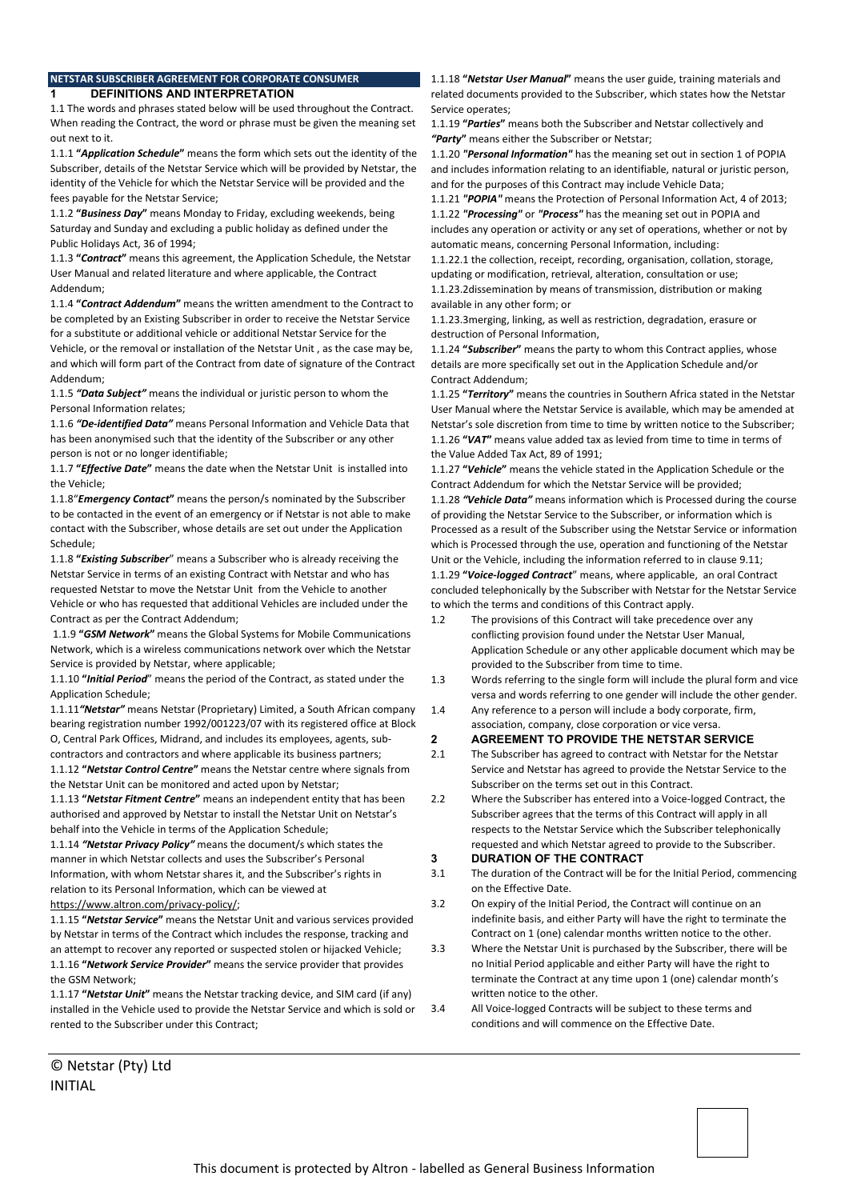#### **NETSTAR SUBSCRIBER AGREEMENT FOR CORPORATE CONSUMER 1 DEFINITIONS AND INTERPRETATION**

1.1 The words and phrases stated below will be used throughout the Contract. When reading the Contract, the word or phrase must be given the meaning set out next to it.

1.1.1 **"***Application Schedule***"** means the form which sets out the identity of the Subscriber, details of the Netstar Service which will be provided by Netstar, the identity of the Vehicle for which the Netstar Service will be provided and the fees payable for the Netstar Service;

1.1.2 **"***Business Day***"** means Monday to Friday, excluding weekends, being Saturday and Sunday and excluding a public holiday as defined under the Public Holidays Act, 36 of 1994;

1.1.3 **"***Contract***"** means this agreement, the Application Schedule, the Netstar User Manual and related literature and where applicable, the Contract Addendum;

1.1.4 **"***Contract Addendum***"** means the written amendment to the Contract to be completed by an Existing Subscriber in order to receive the Netstar Service for a substitute or additional vehicle or additional Netstar Service for the Vehicle, or the removal or installation of the Netstar Unit , as the case may be, and which will form part of the Contract from date of signature of the Contract Addendum;

1.1.5 *"Data Subject"* means the individual or juristic person to whom the Personal Information relates;

1.1.6 *"De-identified Data"* means Personal Information and Vehicle Data that has been anonymised such that the identity of the Subscriber or any other person is not or no longer identifiable;

1.1.7 **"***Effective Date***"** means the date when the Netstar Unit is installed into the Vehicle;

1.1.8"*Emergency Contact***"** means the person/s nominated by the Subscriber to be contacted in the event of an emergency or if Netstar is not able to make contact with the Subscriber, whose details are set out under the Application Schedule;

1.1.8 **"***Existing Subscriber*" means a Subscriber who is already receiving the Netstar Service in terms of an existing Contract with Netstar and who has requested Netstar to move the Netstar Unit from the Vehicle to another Vehicle or who has requested that additional Vehicles are included under the Contract as per the Contract Addendum;

1.1.9 **"***GSM Network***"** means the Global Systems for Mobile Communications Network, which is a wireless communications network over which the Netstar Service is provided by Netstar, where applicable;

1.1.10 **"***Initial Period*" means the period of the Contract, as stated under the Application Schedule;

1.1.11*"Netstar"* means Netstar (Proprietary) Limited, a South African company bearing registration number 1992/001223/07 with its registered office at Block O, Central Park Offices, Midrand, and includes its employees, agents, subcontractors and contractors and where applicable its business partners;

1.1.12 **"***Netstar Control Centre***"** means the Netstar centre where signals from the Netstar Unit can be monitored and acted upon by Netstar;

1.1.13 **"***Netstar Fitment Centre***"** means an independent entity that has been authorised and approved by Netstar to install the Netstar Unit on Netstar's behalf into the Vehicle in terms of the Application Schedule;

1.1.14 *"Netstar Privacy Policy"* means the document/s which states the manner in which Netstar collects and uses the Subscriber's Personal Information, with whom Netstar shares it, and the Subscriber's rights in relation to its Personal Information, which can be viewed at https://www.altron.com/privacy-policy/;

1.1.15 **"***Netstar Service***"** means the Netstar Unit and various services provided by Netstar in terms of the Contract which includes the response, tracking and an attempt to recover any reported or suspected stolen or hijacked Vehicle; 1.1.16 **"***Network Service Provider***"** means the service provider that provides the GSM Network;

1.1.17 **"***Netstar Unit***"** means the Netstar tracking device, and SIM card (if any) installed in the Vehicle used to provide the Netstar Service and which is sold or rented to the Subscriber under this Contract;

© Netstar (Pty) Ltd INITIAL

1.1.18 **"***Netstar User Manual***"** means the user guide, training materials and related documents provided to the Subscriber, which states how the Netstar Service operates;

1.1.19 **"***Parties***"** means both the Subscriber and Netstar collectively and *"Party***"** means either the Subscriber or Netstar;

1.1.20 *"Personal Information"* has the meaning set out in section 1 of POPIA and includes information relating to an identifiable, natural or juristic person, and for the purposes of this Contract may include Vehicle Data;

1.1.21 *"POPIA"* means the Protection of Personal Information Act, 4 of 2013; 1.1.22 *"Processing"* or *"Process"* has the meaning set out in POPIA and includes any operation or activity or any set of operations, whether or not by automatic means, concerning Personal Information, including:

1.1.22.1 the collection, receipt, recording, organisation, collation, storage, updating or modification, retrieval, alteration, consultation or use;

1.1.23.2dissemination by means of transmission, distribution or making available in any other form; or

1.1.23.3merging, linking, as well as restriction, degradation, erasure or destruction of Personal Information,

1.1.24 **"***Subscriber***"** means the party to whom this Contract applies, whose details are more specifically set out in the Application Schedule and/or Contract Addendum;

1.1.25 **"***Territory***"** means the countries in Southern Africa stated in the Netstar User Manual where the Netstar Service is available, which may be amended at Netstar's sole discretion from time to time by written notice to the Subscriber; 1.1.26 **"***VAT***"** means value added tax as levied from time to time in terms of the Value Added Tax Act, 89 of 1991;

1.1.27 **"***Vehicle***"** means the vehicle stated in the Application Schedule or the Contract Addendum for which the Netstar Service will be provided;

1.1.28 *"Vehicle Data"* means information which is Processed during the course of providing the Netstar Service to the Subscriber, or information which is Processed as a result of the Subscriber using the Netstar Service or information which is Processed through the use, operation and functioning of the Netstar Unit or the Vehicle, including the information referred to in clause 9.11;

1.1.29 **"***Voice-logged Contract*" means, where applicable, an oral Contract concluded telephonically by the Subscriber with Netstar for the Netstar Service to which the terms and conditions of this Contract apply.

- 1.2 The provisions of this Contract will take precedence over any conflicting provision found under the Netstar User Manual, Application Schedule or any other applicable document which may be provided to the Subscriber from time to time.
- 1.3 Words referring to the single form will include the plural form and vice versa and words referring to one gender will include the other gender.
- 1.4 Any reference to a person will include a body corporate, firm, association, company, close corporation or vice versa.

# **2 AGREEMENT TO PROVIDE THE NETSTAR SERVICE**

- 2.1 The Subscriber has agreed to contract with Netstar for the Netstar Service and Netstar has agreed to provide the Netstar Service to the Subscriber on the terms set out in this Contract.
- 2.2 Where the Subscriber has entered into a Voice-logged Contract, the Subscriber agrees that the terms of this Contract will apply in all respects to the Netstar Service which the Subscriber telephonically requested and which Netstar agreed to provide to the Subscriber.

## **3 DURATION OF THE CONTRACT**

- 3.1 The duration of the Contract will be for the Initial Period, commencing on the Effective Date.
- 3.2 On expiry of the Initial Period, the Contract will continue on an indefinite basis, and either Party will have the right to terminate the Contract on 1 (one) calendar months written notice to the other.
- 3.3 Where the Netstar Unit is purchased by the Subscriber, there will be no Initial Period applicable and either Party will have the right to terminate the Contract at any time upon 1 (one) calendar month's written notice to the other.
- 3.4 All Voice-logged Contracts will be subject to these terms and conditions and will commence on the Effective Date.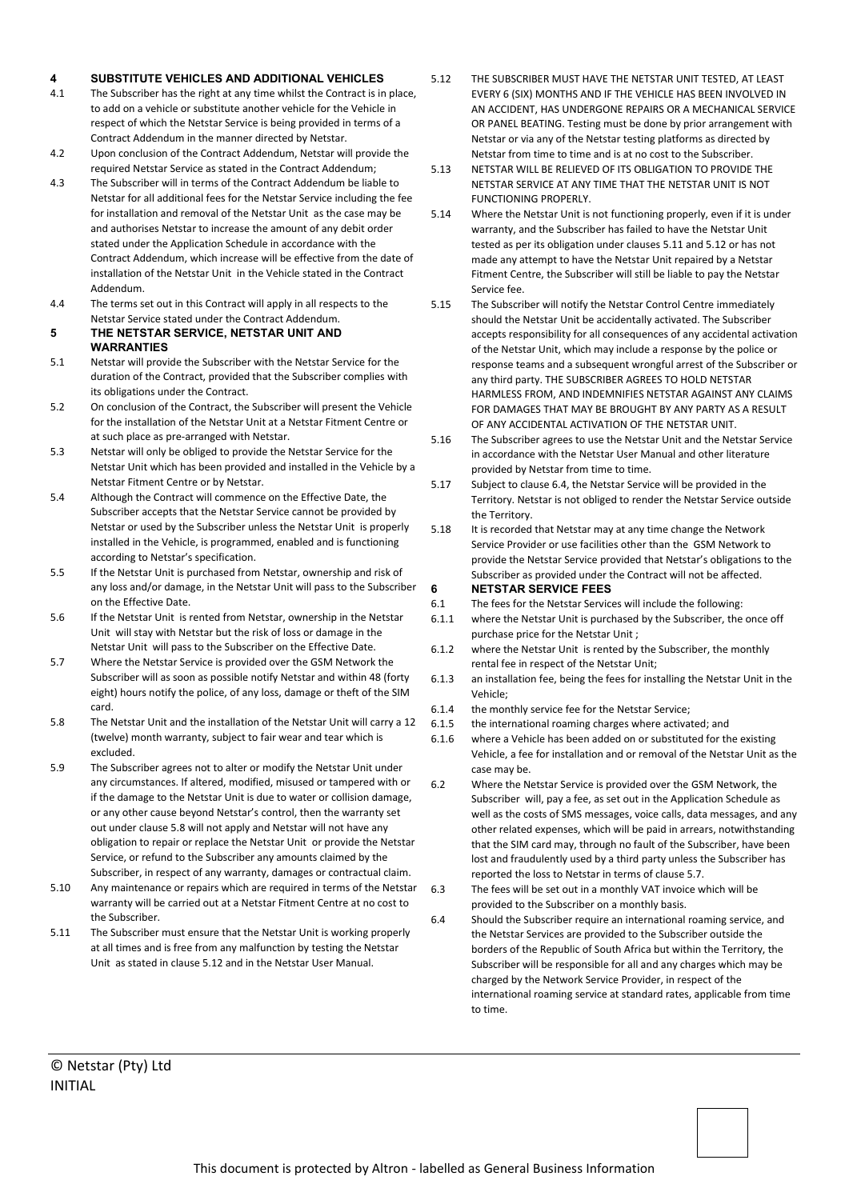## **4 SUBSTITUTE VEHICLES AND ADDITIONAL VEHICLES**

- 4.1 The Subscriber has the right at any time whilst the Contract is in place, to add on a vehicle or substitute another vehicle for the Vehicle in respect of which the Netstar Service is being provided in terms of a Contract Addendum in the manner directed by Netstar.
- 4.2 Upon conclusion of the Contract Addendum, Netstar will provide the required Netstar Service as stated in the Contract Addendum;
- 4.3 The Subscriber will in terms of the Contract Addendum be liable to Netstar for all additional fees for the Netstar Service including the fee for installation and removal of the Netstar Unit as the case may be and authorises Netstar to increase the amount of any debit order stated under the Application Schedule in accordance with the Contract Addendum, which increase will be effective from the date of installation of the Netstar Unit in the Vehicle stated in the Contract Addendum.
- 4.4 The terms set out in this Contract will apply in all respects to the Netstar Service stated under the Contract Addendum.

## **5 THE NETSTAR SERVICE, NETSTAR UNIT AND WARRANTIES**

- 5.1 Netstar will provide the Subscriber with the Netstar Service for the duration of the Contract, provided that the Subscriber complies with its obligations under the Contract.
- 5.2 On conclusion of the Contract, the Subscriber will present the Vehicle for the installation of the Netstar Unit at a Netstar Fitment Centre or at such place as pre-arranged with Netstar.
- 5.3 Netstar will only be obliged to provide the Netstar Service for the Netstar Unit which has been provided and installed in the Vehicle by a Netstar Fitment Centre or by Netstar.
- 5.4 Although the Contract will commence on the Effective Date, the Subscriber accepts that the Netstar Service cannot be provided by Netstar or used by the Subscriber unless the Netstar Unit is properly installed in the Vehicle, is programmed, enabled and is functioning according to Netstar's specification.
- 5.5 If the Netstar Unit is purchased from Netstar, ownership and risk of any loss and/or damage, in the Netstar Unit will pass to the Subscriber on the Effective Date.
- 5.6 If the Netstar Unit is rented from Netstar, ownership in the Netstar Unit will stay with Netstar but the risk of loss or damage in the Netstar Unit will pass to the Subscriber on the Effective Date.
- 5.7 Where the Netstar Service is provided over the GSM Network the Subscriber will as soon as possible notify Netstar and within 48 (forty eight) hours notify the police, of any loss, damage or theft of the SIM card.
- 5.8 The Netstar Unit and the installation of the Netstar Unit will carry a 12 (twelve) month warranty, subject to fair wear and tear which is excluded.
- 5.9 The Subscriber agrees not to alter or modify the Netstar Unit under any circumstances. If altered, modified, misused or tampered with or if the damage to the Netstar Unit is due to water or collision damage, or any other cause beyond Netstar's control, then the warranty set out under clause 5.8 will not apply and Netstar will not have any obligation to repair or replace the Netstar Unit or provide the Netstar Service, or refund to the Subscriber any amounts claimed by the Subscriber, in respect of any warranty, damages or contractual claim.
- 5.10 Any maintenance or repairs which are required in terms of the Netstar warranty will be carried out at a Netstar Fitment Centre at no cost to the Subscriber.
- 5.11 The Subscriber must ensure that the Netstar Unit is working properly at all times and is free from any malfunction by testing the Netstar Unit as stated in clause 5.12 and in the Netstar User Manual.
- 5.12 THE SUBSCRIBER MUST HAVE THE NETSTAR UNIT TESTED, AT LEAST EVERY 6 (SIX) MONTHS AND IF THE VEHICLE HAS BEEN INVOLVED IN AN ACCIDENT, HAS UNDERGONE REPAIRS OR A MECHANICAL SERVICE OR PANEL BEATING. Testing must be done by prior arrangement with Netstar or via any of the Netstar testing platforms as directed by Netstar from time to time and is at no cost to the Subscriber.
- 5.13 NETSTAR WILL BE RELIEVED OF ITS OBLIGATION TO PROVIDE THE NETSTAR SERVICE AT ANY TIME THAT THE NETSTAR UNIT IS NOT FUNCTIONING PROPERLY.
- 5.14 Where the Netstar Unit is not functioning properly, even if it is under warranty, and the Subscriber has failed to have the Netstar Unit tested as per its obligation under clauses 5.11 and 5.12 or has not made any attempt to have the Netstar Unit repaired by a Netstar Fitment Centre, the Subscriber will still be liable to pay the Netstar Service fee.
- 5.15 The Subscriber will notify the Netstar Control Centre immediately should the Netstar Unit be accidentally activated. The Subscriber accepts responsibility for all consequences of any accidental activation of the Netstar Unit, which may include a response by the police or response teams and a subsequent wrongful arrest of the Subscriber or any third party. THE SUBSCRIBER AGREES TO HOLD NETSTAR HARMLESS FROM, AND INDEMNIFIES NETSTAR AGAINST ANY CLAIMS FOR DAMAGES THAT MAY BE BROUGHT BY ANY PARTY AS A RESULT OF ANY ACCIDENTAL ACTIVATION OF THE NETSTAR UNIT.
- 5.16 The Subscriber agrees to use the Netstar Unit and the Netstar Service in accordance with the Netstar User Manual and other literature provided by Netstar from time to time.
- 5.17 Subject to clause 6.4, the Netstar Service will be provided in the Territory. Netstar is not obliged to render the Netstar Service outside the Territory.
- 5.18 It is recorded that Netstar may at any time change the Network Service Provider or use facilities other than the GSM Network to provide the Netstar Service provided that Netstar's obligations to the Subscriber as provided under the Contract will not be affected. **6 NETSTAR SERVICE FEES**
- 6.1 The fees for the Netstar Services will include the following:
- 6.1.1 where the Netstar Unit is purchased by the Subscriber, the once off purchase price for the Netstar Unit ;
- 6.1.2 where the Netstar Unit is rented by the Subscriber, the monthly rental fee in respect of the Netstar Unit;
- 6.1.3 an installation fee, being the fees for installing the Netstar Unit in the Vehicle;
- 6.1.4 the monthly service fee for the Netstar Service;
- 6.1.5 the international roaming charges where activated; and
- 6.1.6 where a Vehicle has been added on or substituted for the existing Vehicle, a fee for installation and or removal of the Netstar Unit as the case may be.
- 6.2 Where the Netstar Service is provided over the GSM Network, the Subscriber will, pay a fee, as set out in the Application Schedule as well as the costs of SMS messages, voice calls, data messages, and any other related expenses, which will be paid in arrears, notwithstanding that the SIM card may, through no fault of the Subscriber, have been lost and fraudulently used by a third party unless the Subscriber has reported the loss to Netstar in terms of clause 5.7.
- 6.3 The fees will be set out in a monthly VAT invoice which will be provided to the Subscriber on a monthly basis.
- 6.4 Should the Subscriber require an international roaming service, and the Netstar Services are provided to the Subscriber outside the borders of the Republic of South Africa but within the Territory, the Subscriber will be responsible for all and any charges which may be charged by the Network Service Provider, in respect of the international roaming service at standard rates, applicable from time to time.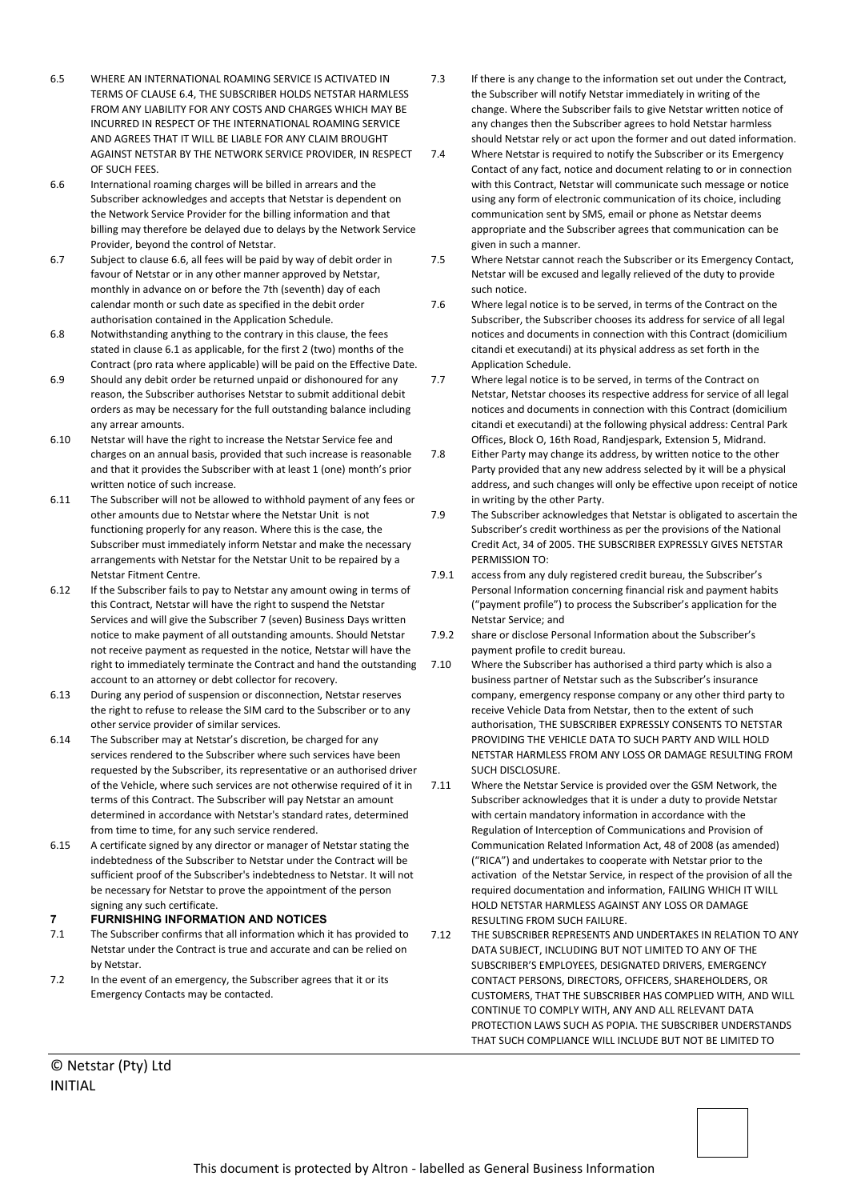- 6.5 WHERE AN INTERNATIONAL ROAMING SERVICE IS ACTIVATED IN TERMS OF CLAUSE 6.4, THE SUBSCRIBER HOLDS NETSTAR HARMLESS FROM ANY LIABILITY FOR ANY COSTS AND CHARGES WHICH MAY BE INCURRED IN RESPECT OF THE INTERNATIONAL ROAMING SERVICE AND AGREES THAT IT WILL BE LIABLE FOR ANY CLAIM BROUGHT AGAINST NETSTAR BY THE NETWORK SERVICE PROVIDER, IN RESPECT OF SUCH FEES.
- 6.6 International roaming charges will be billed in arrears and the Subscriber acknowledges and accepts that Netstar is dependent on the Network Service Provider for the billing information and that billing may therefore be delayed due to delays by the Network Service Provider, beyond the control of Netstar.
- 6.7 Subject to clause 6.6, all fees will be paid by way of debit order in favour of Netstar or in any other manner approved by Netstar, monthly in advance on or before the 7th (seventh) day of each calendar month or such date as specified in the debit order authorisation contained in the Application Schedule.
- 6.8 Notwithstanding anything to the contrary in this clause, the fees stated in clause 6.1 as applicable, for the first 2 (two) months of the Contract (pro rata where applicable) will be paid on the Effective Date.
- 6.9 Should any debit order be returned unpaid or dishonoured for any reason, the Subscriber authorises Netstar to submit additional debit orders as may be necessary for the full outstanding balance including any arrear amounts.
- 6.10 Netstar will have the right to increase the Netstar Service fee and charges on an annual basis, provided that such increase is reasonable and that it provides the Subscriber with at least 1 (one) month's prior written notice of such increase.
- 6.11 The Subscriber will not be allowed to withhold payment of any fees or other amounts due to Netstar where the Netstar Unit is not functioning properly for any reason. Where this is the case, the Subscriber must immediately inform Netstar and make the necessary arrangements with Netstar for the Netstar Unit to be repaired by a Netstar Fitment Centre.
- 6.12 If the Subscriber fails to pay to Netstar any amount owing in terms of this Contract, Netstar will have the right to suspend the Netstar Services and will give the Subscriber 7 (seven) Business Days written notice to make payment of all outstanding amounts. Should Netstar not receive payment as requested in the notice, Netstar will have the right to immediately terminate the Contract and hand the outstanding account to an attorney or debt collector for recovery.
- 6.13 During any period of suspension or disconnection, Netstar reserves the right to refuse to release the SIM card to the Subscriber or to any other service provider of similar services.
- 6.14 The Subscriber may at Netstar's discretion, be charged for any services rendered to the Subscriber where such services have been requested by the Subscriber, its representative or an authorised driver of the Vehicle, where such services are not otherwise required of it in terms of this Contract. The Subscriber will pay Netstar an amount determined in accordance with Netstar's standard rates, determined from time to time, for any such service rendered.
- 6.15 A certificate signed by any director or manager of Netstar stating the indebtedness of the Subscriber to Netstar under the Contract will be sufficient proof of the Subscriber's indebtedness to Netstar. It will not be necessary for Netstar to prove the appointment of the person signing any such certificate.

# **7 FURNISHING INFORMATION AND NOTICES**

- 7.1 The Subscriber confirms that all information which it has provided to Netstar under the Contract is true and accurate and can be relied on by Netstar.
- 7.2 In the event of an emergency, the Subscriber agrees that it or its Emergency Contacts may be contacted.
- 7.3 If there is any change to the information set out under the Contract, the Subscriber will notify Netstar immediately in writing of the change. Where the Subscriber fails to give Netstar written notice of any changes then the Subscriber agrees to hold Netstar harmless should Netstar rely or act upon the former and out dated information.
- 7.4 Where Netstar is required to notify the Subscriber or its Emergency Contact of any fact, notice and document relating to or in connection with this Contract, Netstar will communicate such message or notice using any form of electronic communication of its choice, including communication sent by SMS, email or phone as Netstar deems appropriate and the Subscriber agrees that communication can be given in such a manner.
- 7.5 Where Netstar cannot reach the Subscriber or its Emergency Contact, Netstar will be excused and legally relieved of the duty to provide such notice.
- 7.6 Where legal notice is to be served, in terms of the Contract on the Subscriber, the Subscriber chooses its address for service of all legal notices and documents in connection with this Contract (domicilium citandi et executandi) at its physical address as set forth in the Application Schedule.
- 7.7 Where legal notice is to be served, in terms of the Contract on Netstar, Netstar chooses its respective address for service of all legal notices and documents in connection with this Contract (domicilium citandi et executandi) at the following physical address: Central Park Offices, Block O, 16th Road, Randjespark, Extension 5, Midrand.
- 7.8 Either Party may change its address, by written notice to the other Party provided that any new address selected by it will be a physical address, and such changes will only be effective upon receipt of notice in writing by the other Party.
- 7.9 The Subscriber acknowledges that Netstar is obligated to ascertain the Subscriber's credit worthiness as per the provisions of the National Credit Act, 34 of 2005. THE SUBSCRIBER EXPRESSLY GIVES NETSTAR PERMISSION TO:
- 7.9.1 access from any duly registered credit bureau, the Subscriber's Personal Information concerning financial risk and payment habits ("payment profile") to process the Subscriber's application for the Netstar Service; and
- 7.9.2 share or disclose Personal Information about the Subscriber's payment profile to credit bureau.
- Where the Subscriber has authorised a third party which is also a business partner of Netstar such as the Subscriber's insurance company, emergency response company or any other third party to receive Vehicle Data from Netstar, then to the extent of such authorisation, THE SUBSCRIBER EXPRESSLY CONSENTS TO NETSTAR PROVIDING THE VEHICLE DATA TO SUCH PARTY AND WILL HOLD NETSTAR HARMLESS FROM ANY LOSS OR DAMAGE RESULTING FROM SUCH DISCLOSURE.
- 7.11 Where the Netstar Service is provided over the GSM Network, the Subscriber acknowledges that it is under a duty to provide Netstar with certain mandatory information in accordance with the Regulation of Interception of Communications and Provision of Communication Related Information Act, 48 of 2008 (as amended) ("RICA") and undertakes to cooperate with Netstar prior to the activation of the Netstar Service, in respect of the provision of all the required documentation and information, FAILING WHICH IT WILL HOLD NETSTAR HARMLESS AGAINST ANY LOSS OR DAMAGE RESULTING FROM SUCH FAILURE.
- 7.12 THE SUBSCRIBER REPRESENTS AND UNDERTAKES IN RELATION TO ANY DATA SUBJECT, INCLUDING BUT NOT LIMITED TO ANY OF THE SUBSCRIBER'S EMPLOYEES, DESIGNATED DRIVERS, EMERGENCY CONTACT PERSONS, DIRECTORS, OFFICERS, SHAREHOLDERS, OR CUSTOMERS, THAT THE SUBSCRIBER HAS COMPLIED WITH, AND WILL CONTINUE TO COMPLY WITH, ANY AND ALL RELEVANT DATA PROTECTION LAWS SUCH AS POPIA. THE SUBSCRIBER UNDERSTANDS THAT SUCH COMPLIANCE WILL INCLUDE BUT NOT BE LIMITED TO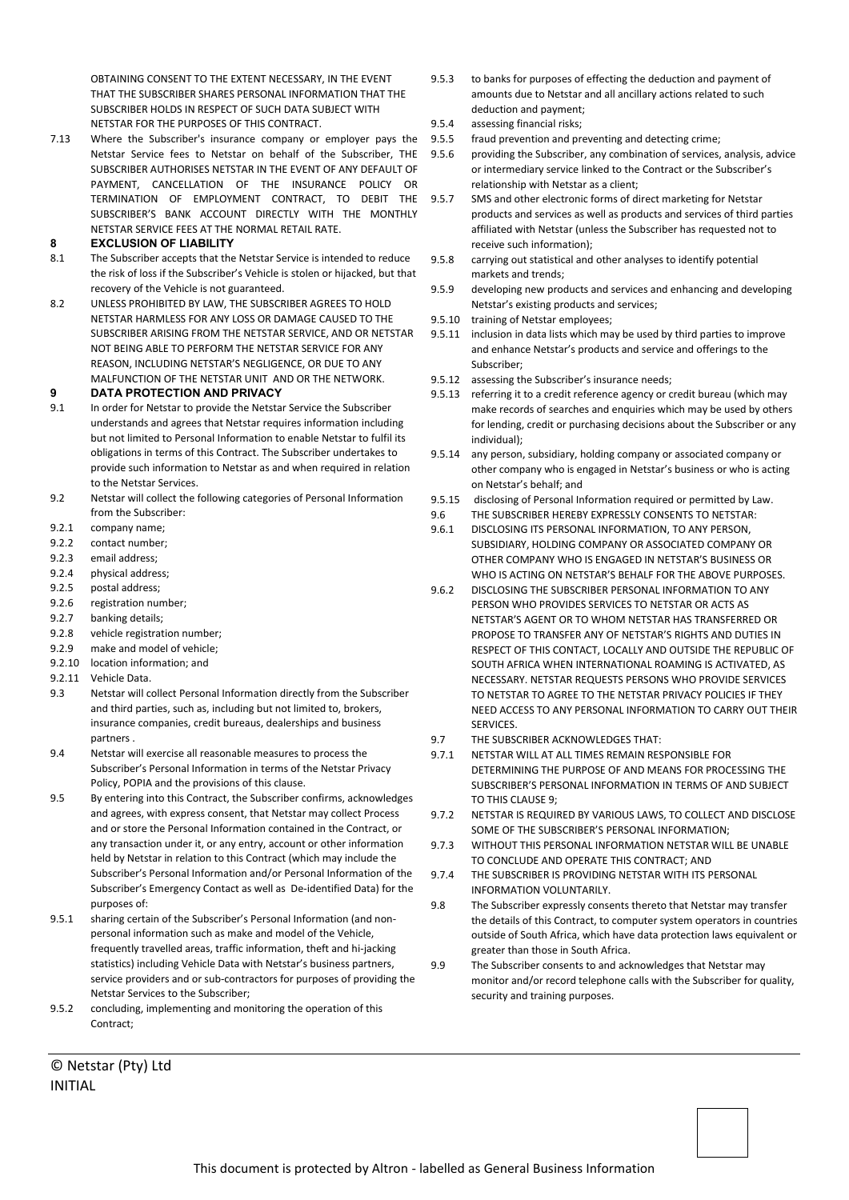OBTAINING CONSENT TO THE EXTENT NECESSARY, IN THE EVENT THAT THE SUBSCRIBER SHARES PERSONAL INFORMATION THAT THE SUBSCRIBER HOLDS IN RESPECT OF SUCH DATA SUBJECT WITH NETSTAR FOR THE PURPOSES OF THIS CONTRACT.

7.13 Where the Subscriber's insurance company or employer pays the Netstar Service fees to Netstar on behalf of the Subscriber, THE SUBSCRIBER AUTHORISES NETSTAR IN THE EVENT OF ANY DEFAULT OF PAYMENT, CANCELLATION OF THE INSURANCE POLICY OR TERMINATION OF EMPLOYMENT CONTRACT, TO DEBIT THE SUBSCRIBER'S BANK ACCOUNT DIRECTLY WITH THE MONTHLY NETSTAR SERVICE FEES AT THE NORMAL RETAIL RATE.

## **8 EXCLUSION OF LIABILITY**

- 8.1 The Subscriber accepts that the Netstar Service is intended to reduce the risk of loss if the Subscriber's Vehicle is stolen or hijacked, but that recovery of the Vehicle is not guaranteed.
- 8.2 UNLESS PROHIBITED BY LAW, THE SUBSCRIBER AGREES TO HOLD NETSTAR HARMLESS FOR ANY LOSS OR DAMAGE CAUSED TO THE SUBSCRIBER ARISING FROM THE NETSTAR SERVICE, AND OR NETSTAR NOT BEING ABLE TO PERFORM THE NETSTAR SERVICE FOR ANY REASON, INCLUDING NETSTAR'S NEGLIGENCE, OR DUE TO ANY MALFUNCTION OF THE NETSTAR UNIT AND OR THE NETWORK.

#### **9 DATA PROTECTION AND PRIVACY**

- 9.1 In order for Netstar to provide the Netstar Service the Subscriber understands and agrees that Netstar requires information including but not limited to Personal Information to enable Netstar to fulfil its obligations in terms of this Contract. The Subscriber undertakes to provide such information to Netstar as and when required in relation to the Netstar Services.
- 9.2 Netstar will collect the following categories of Personal Information from the Subscriber:
- 9.2.1 company name;
- 9.2.2 contact number;
- 9.2.3 email address;
- 9.2.4 physical address;
- 9.2.5 postal address;
- 9.2.6 registration number;
- 9.2.7 banking details;
- 9.2.8 vehicle registration number;
- 9.2.9 make and model of vehicle;
- 9.2.10 location information; and
- 9.2.11 Vehicle Data.
- 9.3 Netstar will collect Personal Information directly from the Subscriber and third parties, such as, including but not limited to, brokers, insurance companies, credit bureaus, dealerships and business partners .
- 9.4 Netstar will exercise all reasonable measures to process the Subscriber's Personal Information in terms of the Netstar Privacy Policy, POPIA and the provisions of this clause.
- 9.5 By entering into this Contract, the Subscriber confirms, acknowledges and agrees, with express consent, that Netstar may collect Process and or store the Personal Information contained in the Contract, or any transaction under it, or any entry, account or other information held by Netstar in relation to this Contract (which may include the Subscriber's Personal Information and/or Personal Information of the Subscriber's Emergency Contact as well as De-identified Data) for the purposes of:
- 9.5.1 sharing certain of the Subscriber's Personal Information (and nonpersonal information such as make and model of the Vehicle, frequently travelled areas, traffic information, theft and hi-jacking statistics) including Vehicle Data with Netstar's business partners, service providers and or sub-contractors for purposes of providing the Netstar Services to the Subscriber;
- 9.5.2 concluding, implementing and monitoring the operation of this Contract;

- 9.5.3 to banks for purposes of effecting the deduction and payment of amounts due to Netstar and all ancillary actions related to such deduction and payment;
- 9.5.4 assessing financial risks;
- 9.5.5 fraud prevention and preventing and detecting crime;
- 9.5.6 providing the Subscriber, any combination of services, analysis, advice or intermediary service linked to the Contract or the Subscriber's relationship with Netstar as a client;
- 9.5.7 SMS and other electronic forms of direct marketing for Netstar products and services as well as products and services of third parties affiliated with Netstar (unless the Subscriber has requested not to receive such information);
- 9.5.8 carrying out statistical and other analyses to identify potential markets and trends;
- 9.5.9 developing new products and services and enhancing and developing Netstar's existing products and services;
- 9.5.10 training of Netstar employees;
- 9.5.11 inclusion in data lists which may be used by third parties to improve and enhance Netstar's products and service and offerings to the Subscriber;
- 9.5.12 assessing the Subscriber's insurance needs;
- 9.5.13 referring it to a credit reference agency or credit bureau (which may make records of searches and enquiries which may be used by others for lending, credit or purchasing decisions about the Subscriber or any individual);
- 9.5.14 any person, subsidiary, holding company or associated company or other company who is engaged in Netstar's business or who is acting on Netstar's behalf; and
- 9.5.15 disclosing of Personal Information required or permitted by Law.
- 9.6 THE SUBSCRIBER HEREBY EXPRESSLY CONSENTS TO NETSTAR:
- 9.6.1 DISCLOSING ITS PERSONAL INFORMATION, TO ANY PERSON SUBSIDIARY, HOLDING COMPANY OR ASSOCIATED COMPANY OR OTHER COMPANY WHO IS ENGAGED IN NETSTAR'S BUSINESS OR WHO IS ACTING ON NETSTAR'S BEHALF FOR THE ABOVE PURPOSES.
- 9.6.2 DISCLOSING THE SUBSCRIBER PERSONAL INFORMATION TO ANY PERSON WHO PROVIDES SERVICES TO NETSTAR OR ACTS AS NETSTAR'S AGENT OR TO WHOM NETSTAR HAS TRANSFERRED OR PROPOSE TO TRANSFER ANY OF NETSTAR'S RIGHTS AND DUTIES IN RESPECT OF THIS CONTACT, LOCALLY AND OUTSIDE THE REPUBLIC OF SOUTH AFRICA WHEN INTERNATIONAL ROAMING IS ACTIVATED, AS NECESSARY. NETSTAR REQUESTS PERSONS WHO PROVIDE SERVICES TO NETSTAR TO AGREE TO THE NETSTAR PRIVACY POLICIES IF THEY NEED ACCESS TO ANY PERSONAL INFORMATION TO CARRY OUT THEIR SERVICES.
- 9.7 THE SUBSCRIBER ACKNOWLEDGES THAT:
- 9.7.1 NETSTAR WILL AT ALL TIMES REMAIN RESPONSIBLE FOR DETERMINING THE PURPOSE OF AND MEANS FOR PROCESSING THE SUBSCRIBER'S PERSONAL INFORMATION IN TERMS OF AND SUBJECT TO THIS CLAUSE 9;
- 9.7.2 NETSTAR IS REQUIRED BY VARIOUS LAWS, TO COLLECT AND DISCLOSE SOME OF THE SUBSCRIBER'S PERSONAL INFORMATION;
- 9.7.3 WITHOUT THIS PERSONAL INFORMATION NETSTAR WILL BE UNABLE TO CONCLUDE AND OPERATE THIS CONTRACT; AND
- 9.7.4 THE SUBSCRIBER IS PROVIDING NETSTAR WITH ITS PERSONAL INFORMATION VOLUNTARILY.
- 9.8 The Subscriber expressly consents thereto that Netstar may transfer the details of this Contract, to computer system operators in countries outside of South Africa, which have data protection laws equivalent or greater than those in South Africa.
- 9.9 The Subscriber consents to and acknowledges that Netstar may monitor and/or record telephone calls with the Subscriber for quality, security and training purposes.